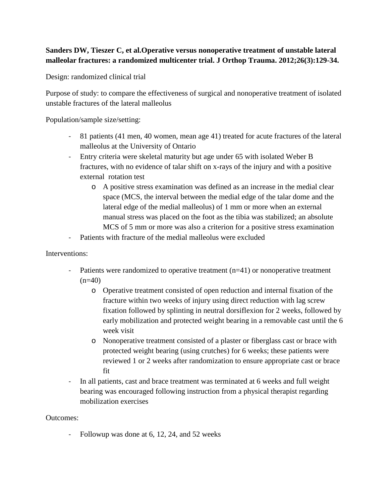## **Sanders DW, Tieszer C, et al.Operative versus nonoperative treatment of unstable lateral malleolar fractures: a randomized multicenter trial. J Orthop Trauma. 2012;26(3):129-34.**

Design: randomized clinical trial

Purpose of study: to compare the effectiveness of surgical and nonoperative treatment of isolated unstable fractures of the lateral malleolus

Population/sample size/setting:

- 81 patients (41 men, 40 women, mean age 41) treated for acute fractures of the lateral malleolus at the University of Ontario
- Entry criteria were skeletal maturity but age under 65 with isolated Weber B fractures, with no evidence of talar shift on x-rays of the injury and with a positive external rotation test
	- o A positive stress examination was defined as an increase in the medial clear space (MCS, the interval between the medial edge of the talar dome and the lateral edge of the medial malleolus) of 1 mm or more when an external manual stress was placed on the foot as the tibia was stabilized; an absolute MCS of 5 mm or more was also a criterion for a positive stress examination
- Patients with fracture of the medial malleolus were excluded

## Interventions:

- Patients were randomized to operative treatment (n=41) or nonoperative treatment  $(n=40)$ 
	- o Operative treatment consisted of open reduction and internal fixation of the fracture within two weeks of injury using direct reduction with lag screw fixation followed by splinting in neutral dorsiflexion for 2 weeks, followed by early mobilization and protected weight bearing in a removable cast until the 6 week visit
	- o Nonoperative treatment consisted of a plaster or fiberglass cast or brace with protected weight bearing (using crutches) for 6 weeks; these patients were reviewed 1 or 2 weeks after randomization to ensure appropriate cast or brace fit
- In all patients, cast and brace treatment was terminated at 6 weeks and full weight bearing was encouraged following instruction from a physical therapist regarding mobilization exercises

Outcomes:

- Followup was done at 6, 12, 24, and 52 weeks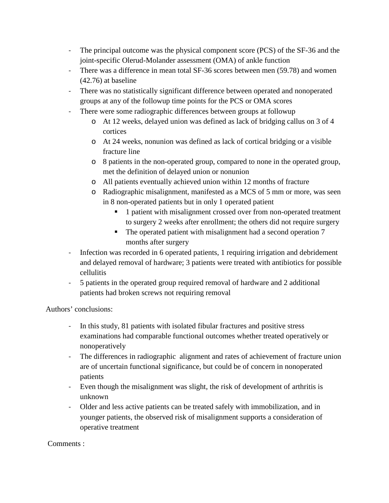- The principal outcome was the physical component score (PCS) of the SF-36 and the joint-specific Olerud-Molander assessment (OMA) of ankle function
- There was a difference in mean total SF-36 scores between men (59.78) and women (42.76) at baseline
- There was no statistically significant difference between operated and nonoperated groups at any of the followup time points for the PCS or OMA scores
- There were some radiographic differences between groups at followup
	- o At 12 weeks, delayed union was defined as lack of bridging callus on 3 of 4 cortices
	- o At 24 weeks, nonunion was defined as lack of cortical bridging or a visible fracture line
	- o 8 patients in the non-operated group, compared to none in the operated group, met the definition of delayed union or nonunion
	- o All patients eventually achieved union within 12 months of fracture
	- o Radiographic misalignment, manifested as a MCS of 5 mm or more, was seen in 8 non-operated patients but in only 1 operated patient
		- **1** patient with misalignment crossed over from non-operated treatment to surgery 2 weeks after enrollment; the others did not require surgery
		- The operated patient with misalignment had a second operation 7 months after surgery
- Infection was recorded in 6 operated patients, 1 requiring irrigation and debridement and delayed removal of hardware; 3 patients were treated with antibiotics for possible cellulitis
- 5 patients in the operated group required removal of hardware and 2 additional patients had broken screws not requiring removal

Authors' conclusions:

- In this study, 81 patients with isolated fibular fractures and positive stress examinations had comparable functional outcomes whether treated operatively or nonoperatively
- The differences in radiographic alignment and rates of achievement of fracture union are of uncertain functional significance, but could be of concern in nonoperated patients
- Even though the misalignment was slight, the risk of development of arthritis is unknown
- Older and less active patients can be treated safely with immobilization, and in younger patients, the observed risk of misalignment supports a consideration of operative treatment

Comments :